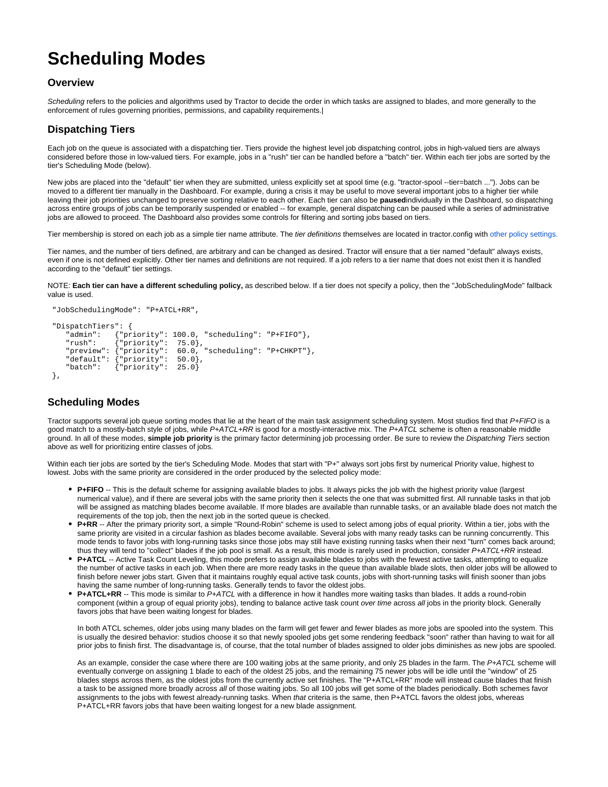# **Scheduling Modes**

#### **Overview**

Scheduling refers to the policies and algorithms used by Tractor to decide the order in which tasks are assigned to blades, and more generally to the enforcement of rules governing priorities, permissions, and capability requirements.|

#### **Dispatching Tiers**

Each job on the queue is associated with a dispatching tier. Tiers provide the highest level job dispatching control, jobs in high-valued tiers are always considered before those in low-valued tiers. For example, jobs in a "rush" tier can be handled before a "batch" tier. Within each tier jobs are sorted by the tier's Scheduling Mode (below).

New jobs are placed into the "default" tier when they are submitted, unless explicitly set at spool time (e.g. "tractor-spool --tier=batch ..."). Jobs can be moved to a different tier manually in the Dashboard. For example, during a crisis it may be useful to move several important jobs to a higher tier while leaving their job priorities unchanged to preserve sorting relative to each other. Each tier can also be **paused**individually in the Dashboard, so dispatching across entire groups of jobs can be temporarily suspended or enabled -- for example, general dispatching can be paused while a series of administrative jobs are allowed to proceed. The Dashboard also provides some controls for filtering and sorting jobs based on tiers.

Tier membership is stored on each job as a simple tier name attribute. The tier definitions themselves are located in tractor.config with [other policy settings.](https://rmanwiki.pixar.com/display/TRA/Engine)

Tier names, and the number of tiers defined, are arbitrary and can be changed as desired. Tractor will ensure that a tier named "default" always exists, even if one is not defined explicitly. Other tier names and definitions are not required. If a job refers to a tier name that does not exist then it is handled according to the "default" tier settings.

NOTE: **Each tier can have a different scheduling policy,** as described below. If a tier does not specify a policy, then the "JobSchedulingMode" fallback value is used.

```
 "JobSchedulingMode": "P+ATCL+RR",
"DispatchTiers": {
  "<br>"admin": {"priority": 100.0, "scheduling": "P+FIFO"},<br>"rush": {"priority": 75.0}
   "rush": {"priority": 75.0},<br>"preview": {"priority": 60.0,
                                   60.0, "scheduling": "P+CHKPT"\} "default": {"priority": 50.0},
                \{ "priority": 25.0}
},
```
## **Scheduling Modes**

Tractor supports several job queue sorting modes that lie at the heart of the main task assignment scheduling system. Most studios find that P+FIFO is a good match to a mostly-batch style of jobs, while P+ATCL+RR is good for a mostly-interactive mix. The P+ATCL scheme is often a reasonable middle ground. In all of these modes, **simple job priority** is the primary factor determining job processing order. Be sure to review the Dispatching Tiers section above as well for prioritizing entire classes of jobs.

Within each tier jobs are sorted by the tier's Scheduling Mode. Modes that start with "P+" always sort jobs first by numerical Priority value, highest to lowest. Jobs with the same priority are considered in the order produced by the selected policy mode:

- **P+FIFO** -- This is the default scheme for assigning available blades to jobs. It always picks the job with the highest priority value (largest numerical value), and if there are several jobs with the same priority then it selects the one that was submitted first. All runnable tasks in that job will be assigned as matching blades become available. If more blades are available than runnable tasks, or an available blade does not match the requirements of the top job, then the next job in the sorted queue is checked.
- **P+RR** -- After the primary priority sort, a simple "Round-Robin" scheme is used to select among jobs of equal priority. Within a tier, jobs with the same priority are visited in a circular fashion as blades become available. Several jobs with many ready tasks can be running concurrently. This mode tends to favor jobs with long-running tasks since those jobs may still have existing running tasks when their next "turn" comes back around; thus they will tend to "collect" blades if the job pool is small. As a result, this mode is rarely used in production, consider P+ATCL+RR instead.
- **P+ATCL** -- Active Task Count Leveling, this mode prefers to assign available blades to jobs with the fewest active tasks, attempting to equalize the number of active tasks in each job. When there are more ready tasks in the queue than available blade slots, then older jobs will be allowed to finish before newer jobs start. Given that it maintains roughly equal active task counts, jobs with short-running tasks will finish sooner than jobs having the same number of long-running tasks. Generally tends to favor the oldest jobs.
- **P+ATCL+RR** -- This mode is similar to P+ATCL with a difference in how it handles more waiting tasks than blades. It adds a round-robin component (within a group of equal priority jobs), tending to balance active task count over time across all jobs in the priority block. Generally favors jobs that have been waiting longest for blades.

In both ATCL schemes, older jobs using many blades on the farm will get fewer and fewer blades as more jobs are spooled into the system. This is usually the desired behavior: studios choose it so that newly spooled jobs get some rendering feedback "soon" rather than having to wait for all prior jobs to finish first. The disadvantage is, of course, that the total number of blades assigned to older jobs diminishes as new jobs are spooled.

As an example, consider the case where there are 100 waiting jobs at the same priority, and only 25 blades in the farm. The P+ATCL scheme will eventually converge on assigning 1 blade to each of the oldest 25 jobs, and the remaining 75 newer jobs will be idle until the "window" of 25 blades steps across them, as the oldest jobs from the currently active set finishes. The "P+ATCL+RR" mode will instead cause blades that finish a task to be assigned more broadly across all of those waiting jobs. So all 100 jobs will get some of the blades periodically. Both schemes favor assignments to the jobs with fewest already-running tasks. When that criteria is the same, then P+ATCL favors the oldest jobs, whereas P+ATCL+RR favors jobs that have been waiting longest for a new blade assignment.